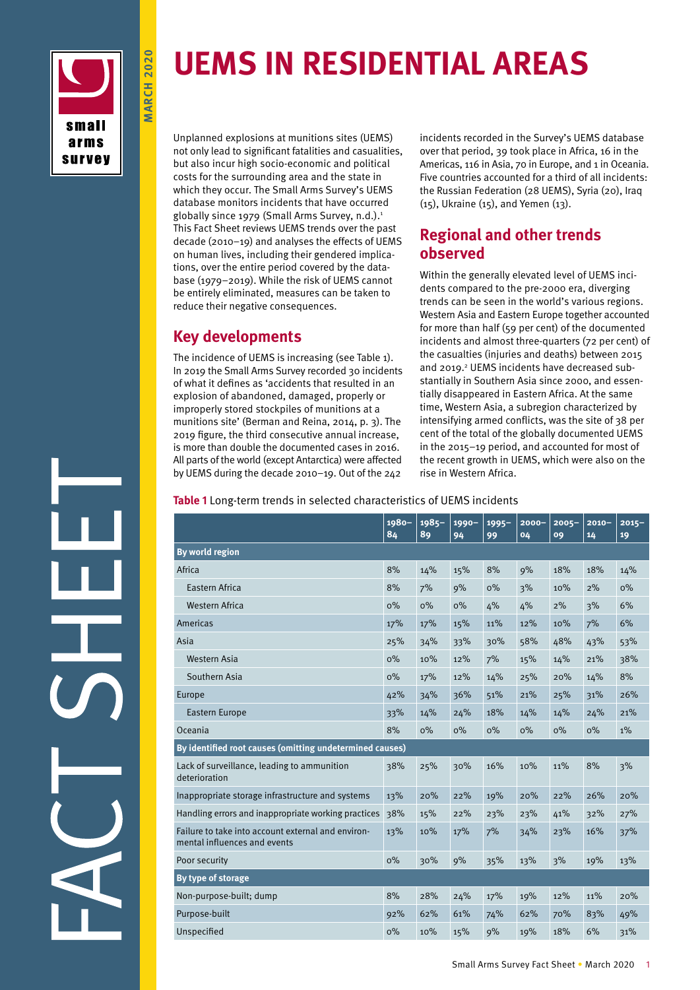

**march 2020**

**MARCH 2020** 

# **UEMS in Residential Areas**

Unplanned explosions at munitions sites (UEMS) not only lead to significant fatalities and casualities, but also incur high socio-economic and political costs for the surrounding area and the state in which they occur. The Small Arms Survey's UEMS database monitors incidents that have occurred globally since 1979 (Small Arms Survey, n.d.).<sup>1</sup> This Fact Sheet reviews UEMS trends over the past decade (2010–19) and analyses the effects of UEMS on human lives, including their gendered implications, over the entire period covered by the database (1979–2019). While the risk of UEMS cannot be entirely eliminated, measures can be taken to reduce their negative consequences.

## **Key developments**

The incidence of UEMS is increasing (see Table 1). In 2019 the Small Arms Survey recorded 30 incidents of what it defines as 'accidents that resulted in an explosion of abandoned, damaged, properly or improperly stored stockpiles of munitions at a munitions site' (Berman and Reina, 2014, p. 3). The 2019 figure, the third consecutive annual increase, is more than double the documented cases in 2016. All parts of the world (except Antarctica) were affected by UEMS during the decade 2010–19. Out of the 242

incidents recorded in the Survey's UEMS database over that period, 39 took place in Africa, 16 in the Americas, 116 in Asia, 70 in Europe, and 1 in Oceania. Five countries accounted for a third of all incidents: the Russian Federation (28 UEMS), Syria (20), Iraq (15), Ukraine (15), and Yemen (13).

## **Regional and other trends observed**

Within the generally elevated level of UEMS incidents compared to the pre-2000 era, diverging trends can be seen in the world's various regions. Western Asia and Eastern Europe together accounted for more than half (59 per cent) of the documented incidents and almost three-quarters (72 per cent) of the casualties (injuries and deaths) between 2015 and 2019.<sup>2</sup> UEMS incidents have decreased substantially in Southern Asia since 2000, and essentially disappeared in Eastern Africa. At the same time, Western Asia, a subregion characterized by intensifying armed conflicts, was the site of 38 per cent of the total of the globally documented UEMS in the 2015–19 period, and accounted for most of the recent growth in UEMS, which were also on the rise in Western Africa.

**Table 1** Long-term trends in selected characteristics of UEMS incidents

|                                                                                    | 1980-<br>84 | 1985-<br>89 | 1990-<br>94 | $1995 -$<br>99 | $2000 -$<br>04 | $2005 -$<br>09 | $2010 -$<br>14 | $2015 -$<br>19 |
|------------------------------------------------------------------------------------|-------------|-------------|-------------|----------------|----------------|----------------|----------------|----------------|
| <b>By world region</b>                                                             |             |             |             |                |                |                |                |                |
| Africa                                                                             | 8%          | 14%         | 15%         | 8%             | 9%             | 18%            | 18%            | 14%            |
| Eastern Africa                                                                     | 8%          | 7%          | 9%          | $0\%$          | 3%             | 10%            | 2%             | $0\%$          |
| <b>Western Africa</b>                                                              | $0\%$       | $0\%$       | $0\%$       | 4%             | 4%             | 2%             | 3%             | 6%             |
| Americas                                                                           | 17%         | 17%         | 15%         | 11%            | 12%            | 10%            | 7%             | 6%             |
| Asia                                                                               | 25%         | 34%         | 33%         | 30%            | 58%            | 48%            | 43%            | 53%            |
| Western Asia                                                                       | $0\%$       | 10%         | 12%         | 7%             | 15%            | 14%            | 21%            | 38%            |
| Southern Asia                                                                      | $0\%$       | 17%         | 12%         | 14%            | 25%            | 20%            | 14%            | 8%             |
| Europe                                                                             | 42%         | 34%         | 36%         | 51%            | 21%            | 25%            | 31%            | 26%            |
| <b>Eastern Europe</b>                                                              | 33%         | 14%         | 24%         | 18%            | 14%            | 14%            | 24%            | 21%            |
| Oceania                                                                            | 8%          | $0\%$       | $0\%$       | $0\%$          | $0\%$          | $0\%$          | O%             | $1\%$          |
| By identified root causes (omitting undetermined causes)                           |             |             |             |                |                |                |                |                |
| Lack of surveillance, leading to ammunition<br>deterioration                       | 38%         | 25%         | 30%         | 16%            | 10%            | 11%            | 8%             | 3%             |
| Inappropriate storage infrastructure and systems                                   | 13%         | 20%         | 22%         | 19%            | 20%            | 22%            | 26%            | 20%            |
| Handling errors and inappropriate working practices                                | 38%         | 15%         | 22%         | 23%            | 23%            | 41%            | 32%            | 27%            |
| Failure to take into account external and environ-<br>mental influences and events | 13%         | 10%         | 17%         | 7%             | 34%            | 23%            | 16%            | 37%            |
| Poor security                                                                      | $0\%$       | 30%         | 9%          | 35%            | 13%            | 3%             | 19%            | 13%            |
| By type of storage                                                                 |             |             |             |                |                |                |                |                |
| Non-purpose-built; dump                                                            | 8%          | 28%         | 24%         | 17%            | 19%            | 12%            | 11%            | 20%            |
| Purpose-built                                                                      | 92%         | 62%         | 61%         | 74%            | 62%            | 70%            | 83%            | 49%            |
| Unspecified                                                                        | $0\%$       | 10%         | 15%         | 9%             | 19%            | 18%            | 6%             | 31%            |